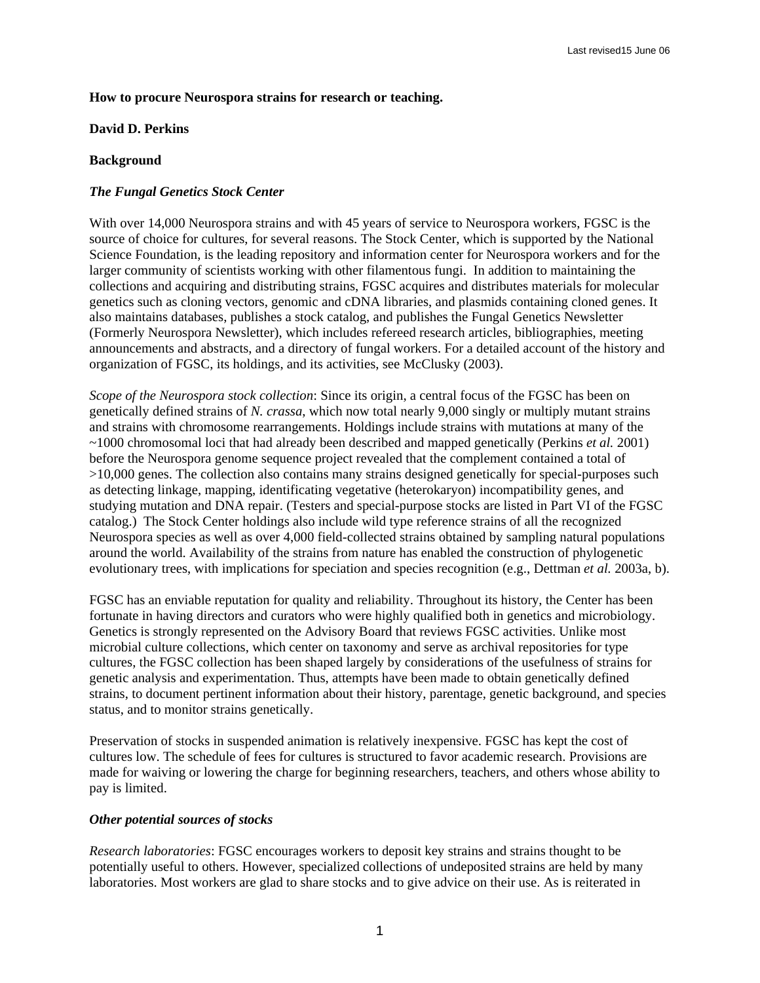### **How to procure Neurospora strains for research or teaching.**

### **David D. Perkins**

## **Background**

# *The Fungal Genetics Stock Center*

With over 14,000 Neurospora strains and with 45 years of service to Neurospora workers, FGSC is the source of choice for cultures, for several reasons. The Stock Center, which is supported by the National Science Foundation, is the leading repository and information center for Neurospora workers and for the larger community of scientists working with other filamentous fungi. In addition to maintaining the collections and acquiring and distributing strains, FGSC acquires and distributes materials for molecular genetics such as cloning vectors, genomic and cDNA libraries, and plasmids containing cloned genes. It also maintains databases, publishes a stock catalog, and publishes the Fungal Genetics Newsletter (Formerly Neurospora Newsletter), which includes refereed research articles, bibliographies, meeting announcements and abstracts, and a directory of fungal workers. For a detailed account of the history and organization of FGSC, its holdings, and its activities, see McClusky (2003).

*Scope of the Neurospora stock collection*: Since its origin, a central focus of the FGSC has been on genetically defined strains of *N. crassa*, which now total nearly 9,000 singly or multiply mutant strains and strains with chromosome rearrangements. Holdings include strains with mutations at many of the ~1000 chromosomal loci that had already been described and mapped genetically (Perkins *et al.* 2001) before the Neurospora genome sequence project revealed that the complement contained a total of >10,000 genes. The collection also contains many strains designed genetically for special-purposes such as detecting linkage, mapping, identificating vegetative (heterokaryon) incompatibility genes, and studying mutation and DNA repair. (Testers and special-purpose stocks are listed in Part VI of the FGSC catalog.) The Stock Center holdings also include wild type reference strains of all the recognized Neurospora species as well as over 4,000 field-collected strains obtained by sampling natural populations around the world. Availability of the strains from nature has enabled the construction of phylogenetic evolutionary trees, with implications for speciation and species recognition (e.g., Dettman *et al.* 2003a, b).

FGSC has an enviable reputation for quality and reliability. Throughout its history, the Center has been fortunate in having directors and curators who were highly qualified both in genetics and microbiology. Genetics is strongly represented on the Advisory Board that reviews FGSC activities. Unlike most microbial culture collections, which center on taxonomy and serve as archival repositories for type cultures, the FGSC collection has been shaped largely by considerations of the usefulness of strains for genetic analysis and experimentation. Thus, attempts have been made to obtain genetically defined strains, to document pertinent information about their history, parentage, genetic background, and species status, and to monitor strains genetically.

Preservation of stocks in suspended animation is relatively inexpensive. FGSC has kept the cost of cultures low. The schedule of fees for cultures is structured to favor academic research. Provisions are made for waiving or lowering the charge for beginning researchers, teachers, and others whose ability to pay is limited.

### *Other potential sources of stocks*

*Research laboratories*: FGSC encourages workers to deposit key strains and strains thought to be potentially useful to others. However, specialized collections of undeposited strains are held by many laboratories. Most workers are glad to share stocks and to give advice on their use. As is reiterated in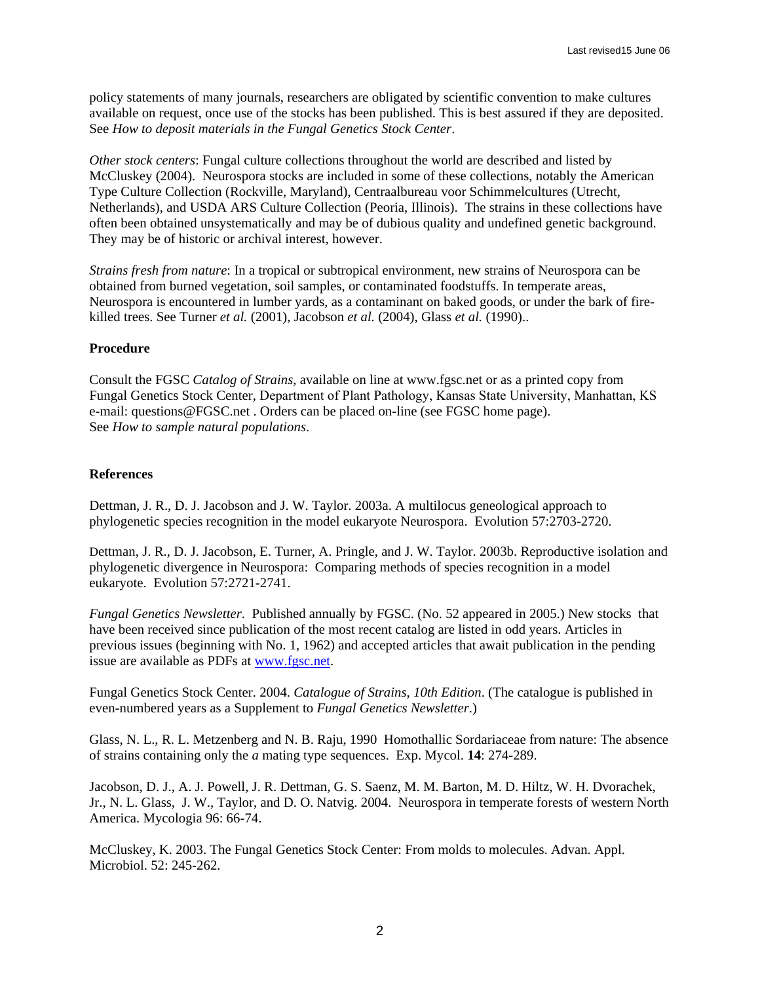policy statements of many journals, researchers are obligated by scientific convention to make cultures available on request, once use of the stocks has been published. This is best assured if they are deposited. See *How to deposit materials in the Fungal Genetics Stock Center*.

*Other stock centers*: Fungal culture collections throughout the world are described and listed by McCluskey (2004). Neurospora stocks are included in some of these collections, notably the American Type Culture Collection (Rockville, Maryland), Centraalbureau voor Schimmelcultures (Utrecht, Netherlands), and USDA ARS Culture Collection (Peoria, Illinois). The strains in these collections have often been obtained unsystematically and may be of dubious quality and undefined genetic background. They may be of historic or archival interest, however.

*Strains fresh from nature*: In a tropical or subtropical environment, new strains of Neurospora can be obtained from burned vegetation, soil samples, or contaminated foodstuffs. In temperate areas, Neurospora is encountered in lumber yards, as a contaminant on baked goods, or under the bark of firekilled trees. See Turner *et al.* (2001), Jacobson *et al.* (2004), Glass *et al.* (1990)..

## **Procedure**

Consult the FGSC *Catalog of Strains*, available on line at [www.fgsc.net](http://www.fgsc.net/) or as a printed copy from Fungal Genetics Stock Center, Department of Plant Pathology, Kansas State University, Manhattan, KS e-mail: questions@FGSC.net . Orders can be placed on-line (see FGSC home page). See *[How to sample na](mailto:questions@FGSC.net)tu[ral populations](mailto:orders@fgsc.net)*.

### **References**

Dettman, J. R., D. J. Jacobson and J. W. Taylor. 2003a. A multilocus geneological approach to phylogenetic species recognition in the model eukaryote Neurospora. Evolution 57:2703-2720.

Dettman, J. R., D. J. Jacobson, E. Turner, A. Pringle, and J. W. Taylor. 2003b. Reproductive isolation and phylogenetic divergence in Neurospora: Comparing methods of species recognition in a model eukaryote. Evolution 57:2721-2741.

*Fungal Genetics Newsletter*. Published annually by FGSC. (No. 52 appeared in 2005.) New stocks that have been received since publication of the most recent catalog are listed in odd years. Articles in previous issues (beginning with No. 1, 1962) and accepted articles that await publication in the pending issue are available as PDFs at [www.fgsc.net](http://www.fgsc.net/).

Fungal Genetics Stock Center. 2004. *Catalogue of Strains*, *10th Edition*. (The catalogue is published in even-numbered years as a Supplement to *Fungal Genetics Newsletter*.)

Glass, N. L., R. L. Metzenberg and N. B. Raju, 1990 Homothallic Sordariaceae from nature: The absence of strains containing only the *a* mating type sequences. Exp. Mycol. **14**: 274-289.

Jacobson, D. J., A. J. Powell, J. R. Dettman, G. S. Saenz, M. M. Barton, M. D. Hiltz, W. H. Dvorachek, Jr., N. L. Glass, J. W., Taylor, and D. O. Natvig. 2004. Neurospora in temperate forests of western North America. Mycologia 96: 66-74.

McCluskey, K. 2003. The Fungal Genetics Stock Center: From molds to molecules. Advan. Appl. Microbiol. 52: 245-262.